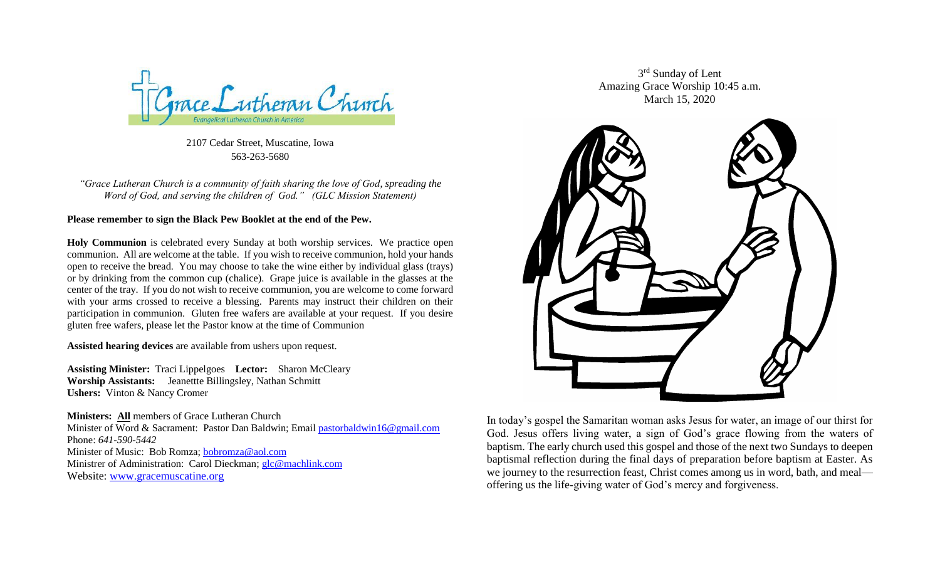

2107 Cedar Street, Muscatine, Iowa 563-263-5680

*"Grace Lutheran Church is a community of faith sharing the love of God, spreading the Word of God, and serving the children of God." (GLC Mission Statement)*

### **Please remember to sign the Black Pew Booklet at the end of the Pew.**

**Holy Communion** is celebrated every Sunday at both worship services. We practice open communion. All are welcome at the table. If you wish to receive communion, hold your hands open to receive the bread. You may choose to take the wine either by individual glass (trays) or by drinking from the common cup (chalice). Grape juice is available in the glasses at the center of the tray. If you do not wish to receive communion, you are welcome to come forward with your arms crossed to receive a blessing. Parents may instruct their children on their participation in communion. Gluten free wafers are available at your request. If you desire gluten free wafers, please let the Pastor know at the time of Communion

**Assisted hearing devices** are available from ushers upon request.

**Assisting Minister:** Traci Lippelgoes **Lector:** Sharon McCleary **Worship Assistants:** Jeanettte Billingsley, Nathan Schmitt **Ushers:** Vinton & Nancy Cromer

**Ministers: All** members of Grace Lutheran Church Minister of Word & Sacrament: Pastor Dan Baldwin; Email [pastorbaldwin16@gmail.com](mailto:pastorbaldwin16@gmail.com) Phone: *641-590-5442* Minister of Music: Bob Romza; [bobromza@aol.com](mailto:bobromza@aol.com) Ministrer of Administration: Carol Dieckman; [glc@machlink.com](mailto:glc@machlink.com) Website: [www.gracemuscatine.org](http://www.gracemuscatine.org/)

3<sup>rd</sup> Sunday of Lent Amazing Grace Worship 10:45 a.m. March 15, 2020



In today's gospel the Samaritan woman asks Jesus for water, an image of our thirst for God. Jesus offers living water, a sign of God's grace flowing from the waters of baptism. The early church used this gospel and those of the next two Sundays to deepen baptismal reflection during the final days of preparation before baptism at Easter. As we journey to the resurrection feast, Christ comes among us in word, bath, and meal offering us the life-giving water of God's mercy and forgiveness.